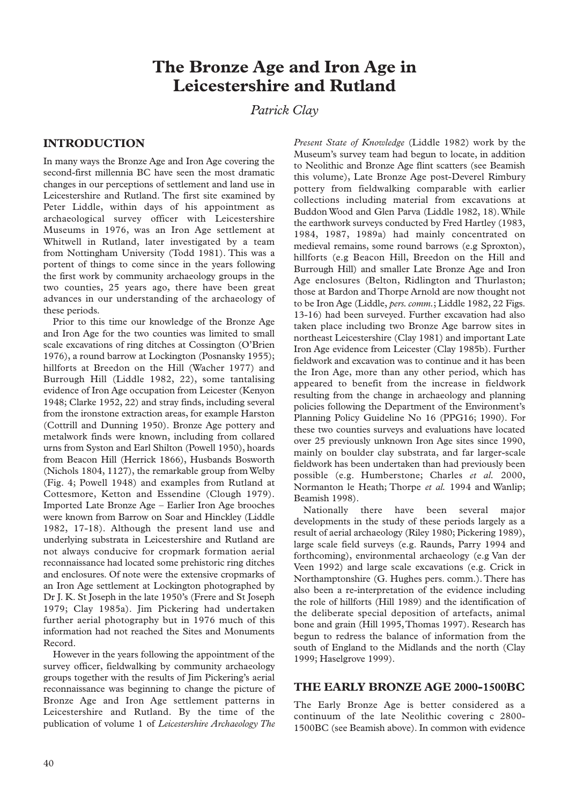# **The Bronze Age and Iron Age in Leicestershire and Rutland**

## *Patrick Clay*

## **INTRODUCTION**

In many ways the Bronze Age and Iron Age covering the second-first millennia BC have seen the most dramatic changes in our perceptions of settlement and land use in Leicestershire and Rutland. The first site examined by Peter Liddle, within days of his appointment as archaeological survey officer with Leicestershire Museums in 1976, was an Iron Age settlement at Whitwell in Rutland, later investigated by a team from Nottingham University (Todd 1981). This was a portent of things to come since in the years following the first work by community archaeology groups in the two counties, 25 years ago, there have been great advances in our understanding of the archaeology of these periods.

Prior to this time our knowledge of the Bronze Age and Iron Age for the two counties was limited to small scale excavations of ring ditches at Cossington (O'Brien 1976), a round barrow at Lockington (Posnansky 1955); hillforts at Breedon on the Hill (Wacher 1977) and Burrough Hill (Liddle 1982, 22), some tantalising evidence of Iron Age occupation from Leicester (Kenyon 1948; Clarke 1952, 22) and stray finds, including several from the ironstone extraction areas, for example Harston (Cottrill and Dunning 1950). Bronze Age pottery and metalwork finds were known, including from collared urns from Syston and Earl Shilton (Powell 1950), hoards from Beacon Hill (Herrick 1866), Husbands Bosworth (Nichols 1804, 1127), the remarkable group from Welby (Fig. 4; Powell 1948) and examples from Rutland at Cottesmore, Ketton and Essendine (Clough 1979). Imported Late Bronze Age – Earlier Iron Age brooches were known from Barrow on Soar and Hinckley (Liddle 1982, 17-18). Although the present land use and underlying substrata in Leicestershire and Rutland are not always conducive for cropmark formation aerial reconnaissance had located some prehistoric ring ditches and enclosures. Of note were the extensive cropmarks of an Iron Age settlement at Lockington photographed by Dr J. K. St Joseph in the late 1950's (Frere and St Joseph 1979; Clay 1985a). Jim Pickering had undertaken further aerial photography but in 1976 much of this information had not reached the Sites and Monuments Record.

However in the years following the appointment of the survey officer, fieldwalking by community archaeology groups together with the results of Jim Pickering's aerial reconnaissance was beginning to change the picture of Bronze Age and Iron Age settlement patterns in Leicestershire and Rutland. By the time of the publication of volume 1 of *Leicestershire Archaeology The*

*Present State of Knowledge* (Liddle 1982) work by the Museum's survey team had begun to locate, in addition to Neolithic and Bronze Age flint scatters (see Beamish this volume), Late Bronze Age post-Deverel Rimbury pottery from fieldwalking comparable with earlier collections including material from excavations at Buddon Wood and Glen Parva (Liddle 1982, 18).While the earthwork surveys conducted by Fred Hartley (1983, 1984, 1987, 1989a) had mainly concentrated on medieval remains, some round barrows (e.g Sproxton), hillforts (e.g Beacon Hill, Breedon on the Hill and Burrough Hill) and smaller Late Bronze Age and Iron Age enclosures (Belton, Ridlington and Thurlaston; those at Bardon and Thorpe Arnold are now thought not to be Iron Age (Liddle, *pers.comm.*; Liddle 1982, 22 Figs. 13-16) had been surveyed. Further excavation had also taken place including two Bronze Age barrow sites in northeast Leicestershire (Clay 1981) and important Late Iron Age evidence from Leicester (Clay 1985b). Further fieldwork and excavation was to continue and it has been the Iron Age, more than any other period, which has appeared to benefit from the increase in fieldwork resulting from the change in archaeology and planning policies following the Department of the Environment's Planning Policy Guideline No 16 (PPG16; 1990). For these two counties surveys and evaluations have located over 25 previously unknown Iron Age sites since 1990, mainly on boulder clay substrata, and far larger-scale fieldwork has been undertaken than had previously been possible (e.g. Humberstone; Charles *et al.* 2000, Normanton le Heath; Thorpe *et al.* 1994 and Wanlip; Beamish 1998).

Nationally there have been several major developments in the study of these periods largely as a result of aerial archaeology (Riley 1980; Pickering 1989), large scale field surveys (e.g. Raunds, Parry 1994 and forthcoming), environmental archaeology (e.g Van der Veen 1992) and large scale excavations (e.g. Crick in Northamptonshire (G. Hughes pers. comm.). There has also been a re-interpretation of the evidence including the role of hillforts (Hill 1989) and the identification of the deliberate special deposition of artefacts, animal bone and grain (Hill 1995,Thomas 1997). Research has begun to redress the balance of information from the south of England to the Midlands and the north (Clay 1999; Haselgrove 1999).

#### **THE EARLY BRONZE AGE 2000-1500BC**

The Early Bronze Age is better considered as a continuum of the late Neolithic covering c 2800- 1500BC (see Beamish above). In common with evidence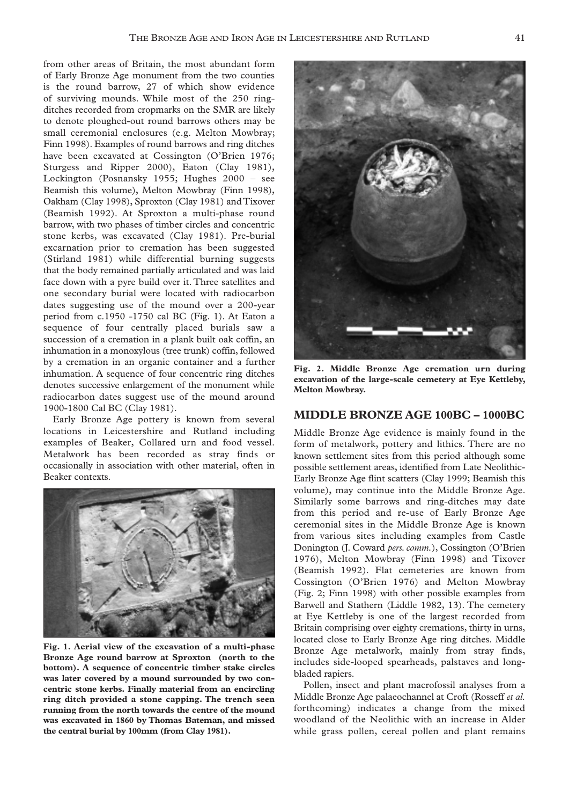from other areas of Britain, the most abundant form of Early Bronze Age monument from the two counties is the round barrow, 27 of which show evidence of surviving mounds. While most of the 250 ringditches recorded from cropmarks on the SMR are likely to denote ploughed-out round barrows others may be small ceremonial enclosures (e.g. Melton Mowbray; Finn 1998). Examples of round barrows and ring ditches have been excavated at Cossington (O'Brien 1976; Sturgess and Ripper 2000), Eaton (Clay 1981), Lockington (Posnansky 1955; Hughes 2000 – see Beamish this volume), Melton Mowbray (Finn 1998), Oakham (Clay 1998), Sproxton (Clay 1981) and Tixover (Beamish 1992). At Sproxton a multi-phase round barrow, with two phases of timber circles and concentric stone kerbs, was excavated (Clay 1981). Pre-burial excarnation prior to cremation has been suggested (Stirland 1981) while differential burning suggests that the body remained partially articulated and was laid face down with a pyre build over it. Three satellites and one secondary burial were located with radiocarbon dates suggesting use of the mound over a 200-year period from c.1950 -1750 cal BC (Fig. 1). At Eaton a sequence of four centrally placed burials saw a succession of a cremation in a plank built oak coffin, an inhumation in a monoxylous (tree trunk) coffin, followed by a cremation in an organic container and a further inhumation. A sequence of four concentric ring ditches denotes successive enlargement of the monument while radiocarbon dates suggest use of the mound around 1900-1800 Cal BC (Clay 1981).

Early Bronze Age pottery is known from several locations in Leicestershire and Rutland including examples of Beaker, Collared urn and food vessel. Metalwork has been recorded as stray finds or occasionally in association with other material, often in Beaker contexts.



**Fig. 1. Aerial view of the excavation of a multi-phase Bronze Age round barrow at Sproxton (north to the bottom). A sequence of concentric timber stake circles was later covered by a mound surrounded by two concentric stone kerbs. Finally material from an encircling ring ditch provided a stone capping. The trench seen running from the north towards the centre of the mound was excavated in 1860 by Thomas Bateman, and missed the central burial by 100mm (from Clay 1981).**



**Fig. 2. Middle Bronze Age cremation urn during excavation of the large-scale cemetery at Eye Kettleby, Melton Mowbray.**

#### **MIDDLE BRONZE AGE 100BC – 1000BC**

Middle Bronze Age evidence is mainly found in the form of metalwork, pottery and lithics. There are no known settlement sites from this period although some possible settlement areas, identified from Late Neolithic-Early Bronze Age flint scatters (Clay 1999; Beamish this volume), may continue into the Middle Bronze Age. Similarly some barrows and ring-ditches may date from this period and re-use of Early Bronze Age ceremonial sites in the Middle Bronze Age is known from various sites including examples from Castle Donington (J. Coward *pers. comm.*), Cossington (O'Brien 1976), Melton Mowbray (Finn 1998) and Tixover (Beamish 1992). Flat cemeteries are known from Cossington (O'Brien 1976) and Melton Mowbray (Fig. 2; Finn 1998) with other possible examples from Barwell and Stathern (Liddle 1982, 13). The cemetery at Eye Kettleby is one of the largest recorded from Britain comprising over eighty cremations, thirty in urns, located close to Early Bronze Age ring ditches. Middle Bronze Age metalwork, mainly from stray finds, includes side-looped spearheads, palstaves and longbladed rapiers.

Pollen, insect and plant macrofossil analyses from a Middle Bronze Age palaeochannel at Croft (Rosseff *et al.* forthcoming) indicates a change from the mixed woodland of the Neolithic with an increase in Alder while grass pollen, cereal pollen and plant remains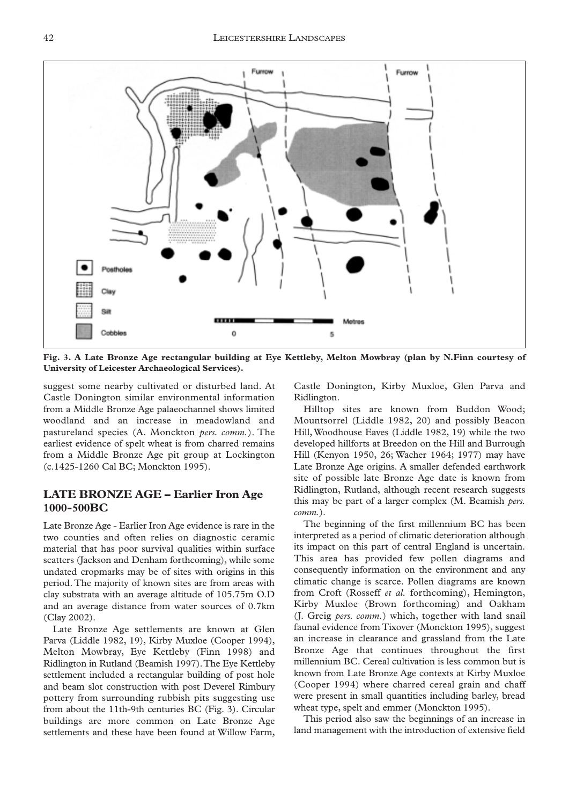

**Fig. 3. A Late Bronze Age rectangular building at Eye Kettleby, Melton Mowbray (plan by N.Finn courtesy of University of Leicester Archaeological Services).**

suggest some nearby cultivated or disturbed land. At Castle Donington similar environmental information from a Middle Bronze Age palaeochannel shows limited woodland and an increase in meadowland and pastureland species (A. Monckton *pers. comm.*). The earliest evidence of spelt wheat is from charred remains from a Middle Bronze Age pit group at Lockington (c.1425-1260 Cal BC; Monckton 1995).

### **LATE BRONZE AGE – Earlier Iron Age 1000-500BC**

Late Bronze Age - Earlier Iron Age evidence is rare in the two counties and often relies on diagnostic ceramic material that has poor survival qualities within surface scatters (Jackson and Denham forthcoming), while some undated cropmarks may be of sites with origins in this period. The majority of known sites are from areas with clay substrata with an average altitude of 105.75m O.D and an average distance from water sources of 0.7km (Clay 2002).

Late Bronze Age settlements are known at Glen Parva (Liddle 1982, 19), Kirby Muxloe (Cooper 1994), Melton Mowbray, Eye Kettleby (Finn 1998) and Ridlington in Rutland (Beamish 1997).The Eye Kettleby settlement included a rectangular building of post hole and beam slot construction with post Deverel Rimbury pottery from surrounding rubbish pits suggesting use from about the 11th-9th centuries BC (Fig. 3). Circular buildings are more common on Late Bronze Age settlements and these have been found at Willow Farm,

Castle Donington, Kirby Muxloe, Glen Parva and Ridlington.

Hilltop sites are known from Buddon Wood; Mountsorrel (Liddle 1982, 20) and possibly Beacon Hill, Woodhouse Eaves (Liddle 1982, 19) while the two developed hillforts at Breedon on the Hill and Burrough Hill (Kenyon 1950, 26; Wacher 1964; 1977) may have Late Bronze Age origins. A smaller defended earthwork site of possible late Bronze Age date is known from Ridlington, Rutland, although recent research suggests this may be part of a larger complex (M. Beamish *pers. comm.*).

The beginning of the first millennium BC has been interpreted as a period of climatic deterioration although its impact on this part of central England is uncertain. This area has provided few pollen diagrams and consequently information on the environment and any climatic change is scarce. Pollen diagrams are known from Croft (Rosseff *et al.* forthcoming), Hemington, Kirby Muxloe (Brown forthcoming) and Oakham (J. Greig *pers. comm.*) which, together with land snail faunal evidence from Tixover (Monckton 1995), suggest an increase in clearance and grassland from the Late Bronze Age that continues throughout the first millennium BC. Cereal cultivation is less common but is known from Late Bronze Age contexts at Kirby Muxloe (Cooper 1994) where charred cereal grain and chaff were present in small quantities including barley, bread wheat type, spelt and emmer (Monckton 1995).

This period also saw the beginnings of an increase in land management with the introduction of extensive field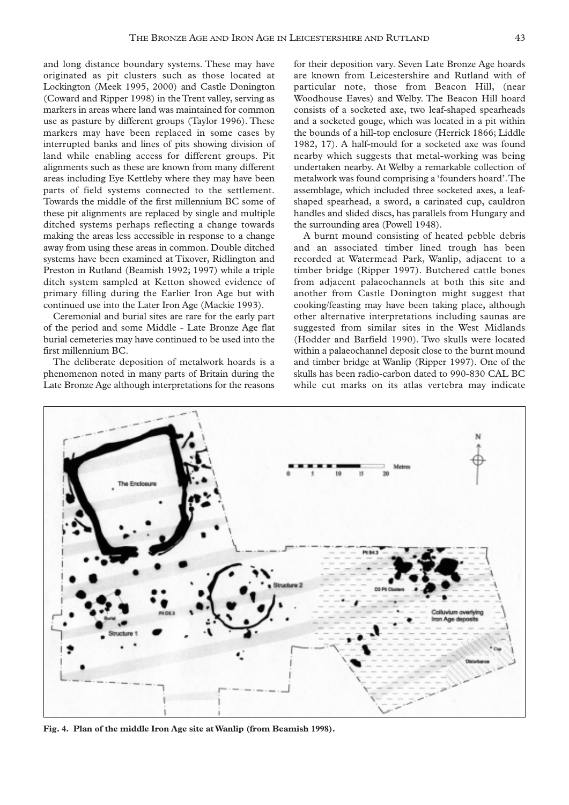and long distance boundary systems. These may have originated as pit clusters such as those located at Lockington (Meek 1995, 2000) and Castle Donington (Coward and Ripper 1998) in the Trent valley, serving as markers in areas where land was maintained for common use as pasture by different groups (Taylor 1996). These markers may have been replaced in some cases by interrupted banks and lines of pits showing division of land while enabling access for different groups. Pit alignments such as these are known from many different areas including Eye Kettleby where they may have been parts of field systems connected to the settlement. Towards the middle of the first millennium BC some of these pit alignments are replaced by single and multiple ditched systems perhaps reflecting a change towards making the areas less accessible in response to a change away from using these areas in common. Double ditched systems have been examined at Tixover, Ridlington and Preston in Rutland (Beamish 1992; 1997) while a triple ditch system sampled at Ketton showed evidence of primary filling during the Earlier Iron Age but with continued use into the Later Iron Age (Mackie 1993).

Ceremonial and burial sites are rare for the early part of the period and some Middle - Late Bronze Age flat burial cemeteries may have continued to be used into the first millennium BC.

The deliberate deposition of metalwork hoards is a phenomenon noted in many parts of Britain during the Late Bronze Age although interpretations for the reasons

for their deposition vary. Seven Late Bronze Age hoards are known from Leicestershire and Rutland with of particular note, those from Beacon Hill, (near Woodhouse Eaves) and Welby. The Beacon Hill hoard consists of a socketed axe, two leaf-shaped spearheads and a socketed gouge, which was located in a pit within the bounds of a hill-top enclosure (Herrick 1866; Liddle 1982, 17). A half-mould for a socketed axe was found nearby which suggests that metal-working was being undertaken nearby. At Welby a remarkable collection of metalwork was found comprising a 'founders hoard'.The assemblage, which included three socketed axes, a leafshaped spearhead, a sword, a carinated cup, cauldron handles and slided discs, has parallels from Hungary and the surrounding area (Powell 1948).

A burnt mound consisting of heated pebble debris and an associated timber lined trough has been recorded at Watermead Park, Wanlip, adjacent to a timber bridge (Ripper 1997). Butchered cattle bones from adjacent palaeochannels at both this site and another from Castle Donington might suggest that cooking/feasting may have been taking place, although other alternative interpretations including saunas are suggested from similar sites in the West Midlands (Hodder and Barfield 1990). Two skulls were located within a palaeochannel deposit close to the burnt mound and timber bridge at Wanlip (Ripper 1997). One of the skulls has been radio-carbon dated to 990-830 CAL BC while cut marks on its atlas vertebra may indicate



**Fig. 4. Plan of the middle Iron Age site at Wanlip (from Beamish 1998).**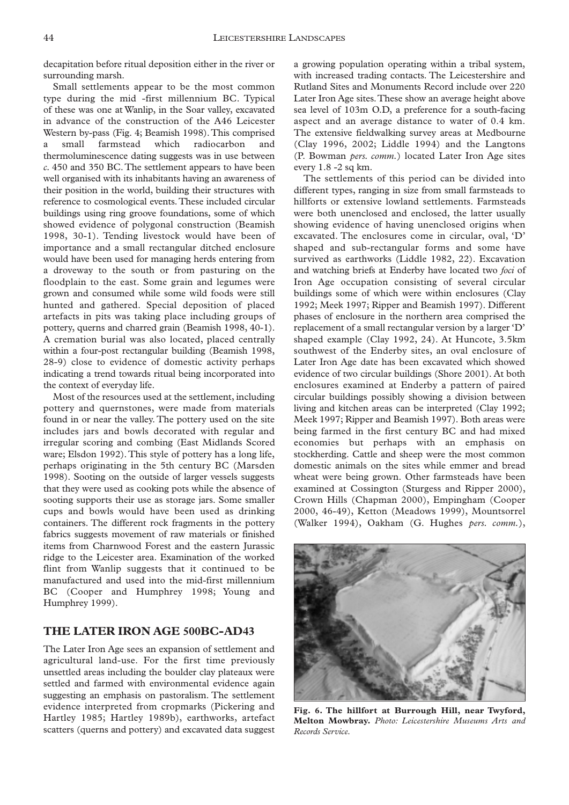decapitation before ritual deposition either in the river or surrounding marsh.

Small settlements appear to be the most common type during the mid -first millennium BC. Typical of these was one at Wanlip, in the Soar valley, excavated in advance of the construction of the A46 Leicester Western by-pass (Fig. 4; Beamish 1998).This comprised a small farmstead which radiocarbon and thermoluminescence dating suggests was in use between *c.* 450 and 350 BC.The settlement appears to have been well organised with its inhabitants having an awareness of their position in the world, building their structures with reference to cosmological events.These included circular buildings using ring groove foundations, some of which showed evidence of polygonal construction (Beamish 1998, 30-1). Tending livestock would have been of importance and a small rectangular ditched enclosure would have been used for managing herds entering from a droveway to the south or from pasturing on the floodplain to the east. Some grain and legumes were grown and consumed while some wild foods were still hunted and gathered. Special deposition of placed artefacts in pits was taking place including groups of pottery, querns and charred grain (Beamish 1998, 40-1). A cremation burial was also located, placed centrally within a four-post rectangular building (Beamish 1998, 28-9) close to evidence of domestic activity perhaps indicating a trend towards ritual being incorporated into the context of everyday life.

Most of the resources used at the settlement, including pottery and quernstones, were made from materials found in or near the valley. The pottery used on the site includes jars and bowls decorated with regular and irregular scoring and combing (East Midlands Scored ware; Elsdon 1992). This style of pottery has a long life, perhaps originating in the 5th century BC (Marsden 1998). Sooting on the outside of larger vessels suggests that they were used as cooking pots while the absence of sooting supports their use as storage jars. Some smaller cups and bowls would have been used as drinking containers. The different rock fragments in the pottery fabrics suggests movement of raw materials or finished items from Charnwood Forest and the eastern Jurassic ridge to the Leicester area. Examination of the worked flint from Wanlip suggests that it continued to be manufactured and used into the mid-first millennium BC (Cooper and Humphrey 1998; Young and Humphrey 1999).

#### **THE LATER IRON AGE 500BC-AD43**

The Later Iron Age sees an expansion of settlement and agricultural land-use. For the first time previously unsettled areas including the boulder clay plateaux were settled and farmed with environmental evidence again suggesting an emphasis on pastoralism. The settlement evidence interpreted from cropmarks (Pickering and Hartley 1985; Hartley 1989b), earthworks, artefact scatters (querns and pottery) and excavated data suggest

a growing population operating within a tribal system, with increased trading contacts. The Leicestershire and Rutland Sites and Monuments Record include over 220 Later Iron Age sites.These show an average height above sea level of 103m O.D, a preference for a south-facing aspect and an average distance to water of 0.4 km. The extensive fieldwalking survey areas at Medbourne (Clay 1996, 2002; Liddle 1994) and the Langtons (P. Bowman *pers. comm.*) located Later Iron Age sites every 1.8 -2 sq km.

The settlements of this period can be divided into different types, ranging in size from small farmsteads to hillforts or extensive lowland settlements. Farmsteads were both unenclosed and enclosed, the latter usually showing evidence of having unenclosed origins when excavated. The enclosures come in circular, oval, 'D' shaped and sub-rectangular forms and some have survived as earthworks (Liddle 1982, 22). Excavation and watching briefs at Enderby have located two *foci* of Iron Age occupation consisting of several circular buildings some of which were within enclosures (Clay 1992; Meek 1997; Ripper and Beamish 1997). Different phases of enclosure in the northern area comprised the replacement of a small rectangular version by a larger 'D' shaped example (Clay 1992, 24). At Huncote, 3.5km southwest of the Enderby sites, an oval enclosure of Later Iron Age date has been excavated which showed evidence of two circular buildings (Shore 2001). At both enclosures examined at Enderby a pattern of paired circular buildings possibly showing a division between living and kitchen areas can be interpreted (Clay 1992; Meek 1997; Ripper and Beamish 1997). Both areas were being farmed in the first century BC and had mixed economies but perhaps with an emphasis on stockherding. Cattle and sheep were the most common domestic animals on the sites while emmer and bread wheat were being grown. Other farmsteads have been examined at Cossington (Sturgess and Ripper 2000), Crown Hills (Chapman 2000), Empingham (Cooper 2000, 46-49), Ketton (Meadows 1999), Mountsorrel (Walker 1994), Oakham (G. Hughes *pers. comm.*),



**Fig. 6. The hillfort at Burrough Hill, near Twyford, Melton Mowbray.** *Photo: Leicestershire Museums Arts and Records Service.*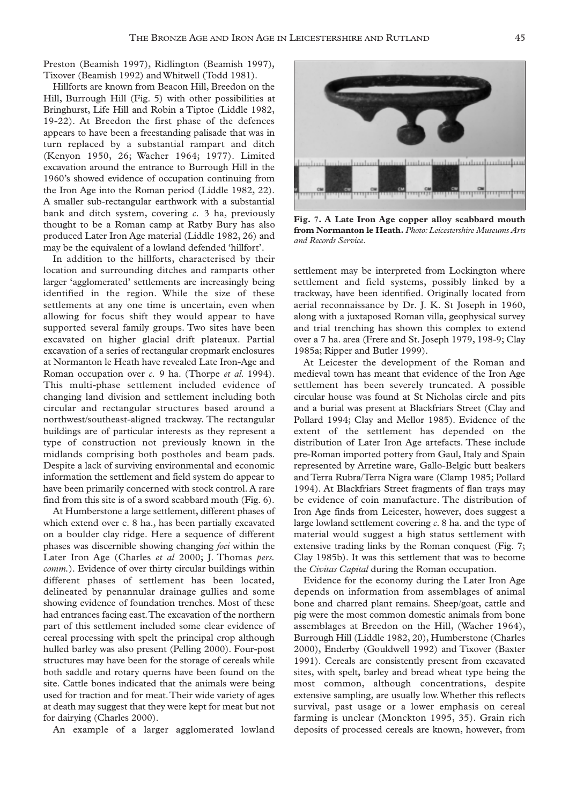Preston (Beamish 1997), Ridlington (Beamish 1997), Tixover (Beamish 1992) and Whitwell (Todd 1981).

Hillforts are known from Beacon Hill, Breedon on the Hill, Burrough Hill (Fig. 5) with other possibilities at Bringhurst, Life Hill and Robin a Tiptoe (Liddle 1982, 19-22). At Breedon the first phase of the defences appears to have been a freestanding palisade that was in turn replaced by a substantial rampart and ditch (Kenyon 1950, 26; Wacher 1964; 1977). Limited excavation around the entrance to Burrough Hill in the 1960's showed evidence of occupation continuing from the Iron Age into the Roman period (Liddle 1982, 22). A smaller sub-rectangular earthwork with a substantial bank and ditch system, covering *c.* 3 ha, previously thought to be a Roman camp at Ratby Bury has also produced Later Iron Age material (Liddle 1982, 26) and may be the equivalent of a lowland defended 'hillfort'.

In addition to the hillforts, characterised by their location and surrounding ditches and ramparts other larger 'agglomerated' settlements are increasingly being identified in the region. While the size of these settlements at any one time is uncertain, even when allowing for focus shift they would appear to have supported several family groups. Two sites have been excavated on higher glacial drift plateaux. Partial excavation of a series of rectangular cropmark enclosures at Normanton le Heath have revealed Late Iron-Age and Roman occupation over *c.* 9 ha. (Thorpe *et al.* 1994). This multi-phase settlement included evidence of changing land division and settlement including both circular and rectangular structures based around a northwest/southeast-aligned trackway. The rectangular buildings are of particular interests as they represent a type of construction not previously known in the midlands comprising both postholes and beam pads. Despite a lack of surviving environmental and economic information the settlement and field system do appear to have been primarily concerned with stock control. A rare find from this site is of a sword scabbard mouth (Fig. 6).

At Humberstone a large settlement, different phases of which extend over c. 8 ha., has been partially excavated on a boulder clay ridge. Here a sequence of different phases was discernible showing changing *foci* within the Later Iron Age (Charles *et al* 2000; J. Thomas *pers. comm.*). Evidence of over thirty circular buildings within different phases of settlement has been located, delineated by penannular drainage gullies and some showing evidence of foundation trenches. Most of these had entrances facing east.The excavation of the northern part of this settlement included some clear evidence of cereal processing with spelt the principal crop although hulled barley was also present (Pelling 2000). Four-post structures may have been for the storage of cereals while both saddle and rotary querns have been found on the site. Cattle bones indicated that the animals were being used for traction and for meat.Their wide variety of ages at death may suggest that they were kept for meat but not for dairying (Charles 2000).

An example of a larger agglomerated lowland

<u>Industrial and material antenders</u> <u>տպանիսպան</u> ապահայութ

**Fig. 7. A Late Iron Age copper alloy scabbard mouth from Normanton le Heath.** *Photo: Leicestershire Museums Arts and Records Service.*

settlement may be interpreted from Lockington where settlement and field systems, possibly linked by a trackway, have been identified. Originally located from aerial reconnaissance by Dr. J. K. St Joseph in 1960, along with a juxtaposed Roman villa, geophysical survey and trial trenching has shown this complex to extend over a 7 ha. area (Frere and St. Joseph 1979, 198-9; Clay 1985a; Ripper and Butler 1999).

At Leicester the development of the Roman and medieval town has meant that evidence of the Iron Age settlement has been severely truncated. A possible circular house was found at St Nicholas circle and pits and a burial was present at Blackfriars Street (Clay and Pollard 1994; Clay and Mellor 1985). Evidence of the extent of the settlement has depended on the distribution of Later Iron Age artefacts. These include pre-Roman imported pottery from Gaul, Italy and Spain represented by Arretine ware, Gallo-Belgic butt beakers and Terra Rubra/Terra Nigra ware (Clamp 1985; Pollard 1994). At Blackfriars Street fragments of flan trays may be evidence of coin manufacture. The distribution of Iron Age finds from Leicester, however, does suggest a large lowland settlement covering *c.* 8 ha. and the type of material would suggest a high status settlement with extensive trading links by the Roman conquest (Fig. 7; Clay 1985b). It was this settlement that was to become the *Civitas Capital* during the Roman occupation.

Evidence for the economy during the Later Iron Age depends on information from assemblages of animal bone and charred plant remains. Sheep/goat, cattle and pig were the most common domestic animals from bone assemblages at Breedon on the Hill, (Wacher 1964), Burrough Hill (Liddle 1982, 20), Humberstone (Charles 2000), Enderby (Gouldwell 1992) and Tixover (Baxter 1991). Cereals are consistently present from excavated sites, with spelt, barley and bread wheat type being the most common, although concentrations, despite extensive sampling, are usually low.Whether this reflects survival, past usage or a lower emphasis on cereal farming is unclear (Monckton 1995, 35). Grain rich deposits of processed cereals are known, however, from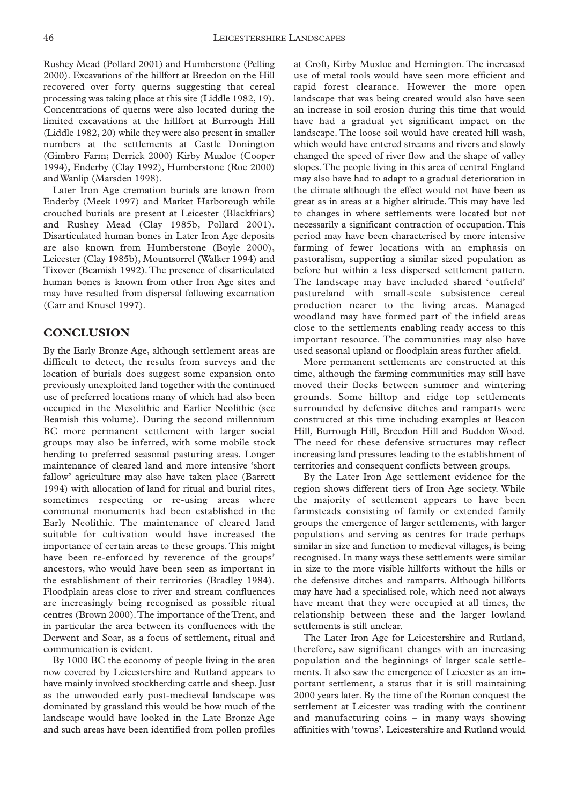Rushey Mead (Pollard 2001) and Humberstone (Pelling 2000). Excavations of the hillfort at Breedon on the Hill recovered over forty querns suggesting that cereal processing was taking place at this site (Liddle 1982, 19). Concentrations of querns were also located during the limited excavations at the hillfort at Burrough Hill (Liddle 1982, 20) while they were also present in smaller numbers at the settlements at Castle Donington (Gimbro Farm; Derrick 2000) Kirby Muxloe (Cooper 1994), Enderby (Clay 1992), Humberstone (Roe 2000) and Wanlip (Marsden 1998).

Later Iron Age cremation burials are known from Enderby (Meek 1997) and Market Harborough while crouched burials are present at Leicester (Blackfriars) and Rushey Mead (Clay 1985b, Pollard 2001). Disarticulated human bones in Later Iron Age deposits are also known from Humberstone (Boyle 2000), Leicester (Clay 1985b), Mountsorrel (Walker 1994) and Tixover (Beamish 1992). The presence of disarticulated human bones is known from other Iron Age sites and may have resulted from dispersal following excarnation (Carr and Knusel 1997).

#### **CONCLUSION**

By the Early Bronze Age, although settlement areas are difficult to detect, the results from surveys and the location of burials does suggest some expansion onto previously unexploited land together with the continued use of preferred locations many of which had also been occupied in the Mesolithic and Earlier Neolithic (see Beamish this volume). During the second millennium BC more permanent settlement with larger social groups may also be inferred, with some mobile stock herding to preferred seasonal pasturing areas. Longer maintenance of cleared land and more intensive 'short fallow' agriculture may also have taken place (Barrett 1994) with allocation of land for ritual and burial rites, sometimes respecting or re-using areas where communal monuments had been established in the Early Neolithic. The maintenance of cleared land suitable for cultivation would have increased the importance of certain areas to these groups. This might have been re-enforced by reverence of the groups' ancestors, who would have been seen as important in the establishment of their territories (Bradley 1984). Floodplain areas close to river and stream confluences are increasingly being recognised as possible ritual centres (Brown 2000).The importance of the Trent, and in particular the area between its confluences with the Derwent and Soar, as a focus of settlement, ritual and communication is evident.

By 1000 BC the economy of people living in the area now covered by Leicestershire and Rutland appears to have mainly involved stockherding cattle and sheep. Just as the unwooded early post-medieval landscape was dominated by grassland this would be how much of the landscape would have looked in the Late Bronze Age and such areas have been identified from pollen profiles

at Croft, Kirby Muxloe and Hemington. The increased use of metal tools would have seen more efficient and rapid forest clearance. However the more open landscape that was being created would also have seen an increase in soil erosion during this time that would have had a gradual yet significant impact on the landscape. The loose soil would have created hill wash, which would have entered streams and rivers and slowly changed the speed of river flow and the shape of valley slopes. The people living in this area of central England may also have had to adapt to a gradual deterioration in the climate although the effect would not have been as great as in areas at a higher altitude. This may have led to changes in where settlements were located but not necessarily a significant contraction of occupation. This period may have been characterised by more intensive farming of fewer locations with an emphasis on pastoralism, supporting a similar sized population as before but within a less dispersed settlement pattern. The landscape may have included shared 'outfield' pastureland with small-scale subsistence cereal production nearer to the living areas. Managed woodland may have formed part of the infield areas close to the settlements enabling ready access to this important resource. The communities may also have used seasonal upland or floodplain areas further afield.

More permanent settlements are constructed at this time, although the farming communities may still have moved their flocks between summer and wintering grounds. Some hilltop and ridge top settlements surrounded by defensive ditches and ramparts were constructed at this time including examples at Beacon Hill, Burrough Hill, Breedon Hill and Buddon Wood. The need for these defensive structures may reflect increasing land pressures leading to the establishment of territories and consequent conflicts between groups.

By the Later Iron Age settlement evidence for the region shows different tiers of Iron Age society. While the majority of settlement appears to have been farmsteads consisting of family or extended family groups the emergence of larger settlements, with larger populations and serving as centres for trade perhaps similar in size and function to medieval villages, is being recognised. In many ways these settlements were similar in size to the more visible hillforts without the hills or the defensive ditches and ramparts. Although hillforts may have had a specialised role, which need not always have meant that they were occupied at all times, the relationship between these and the larger lowland settlements is still unclear.

The Later Iron Age for Leicestershire and Rutland, therefore, saw significant changes with an increasing population and the beginnings of larger scale settlements. It also saw the emergence of Leicester as an important settlement, a status that it is still maintaining 2000 years later. By the time of the Roman conquest the settlement at Leicester was trading with the continent and manufacturing coins – in many ways showing affinities with 'towns'. Leicestershire and Rutland would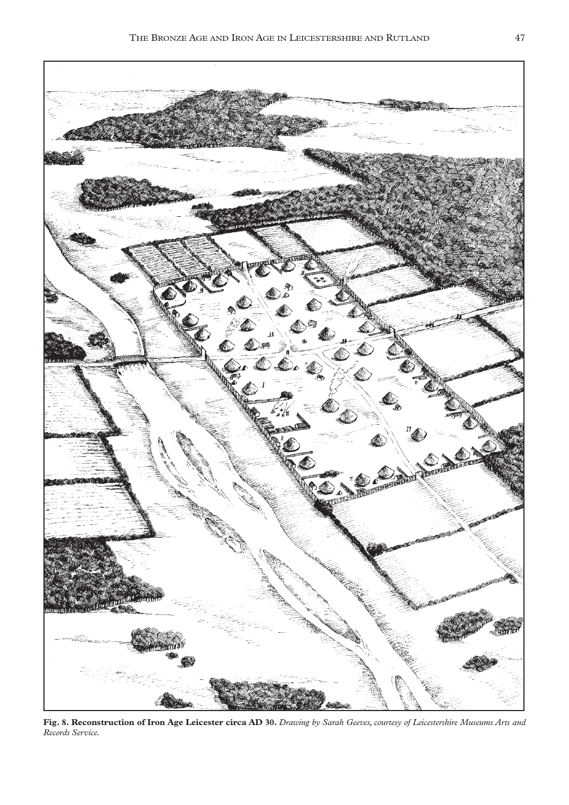

**Fig. 8. Reconstruction of Iron Age Leicester circa AD 30.** *Drawing by Sarah Geeves, courtesy of Leicestershire Museums Arts and Records Service.*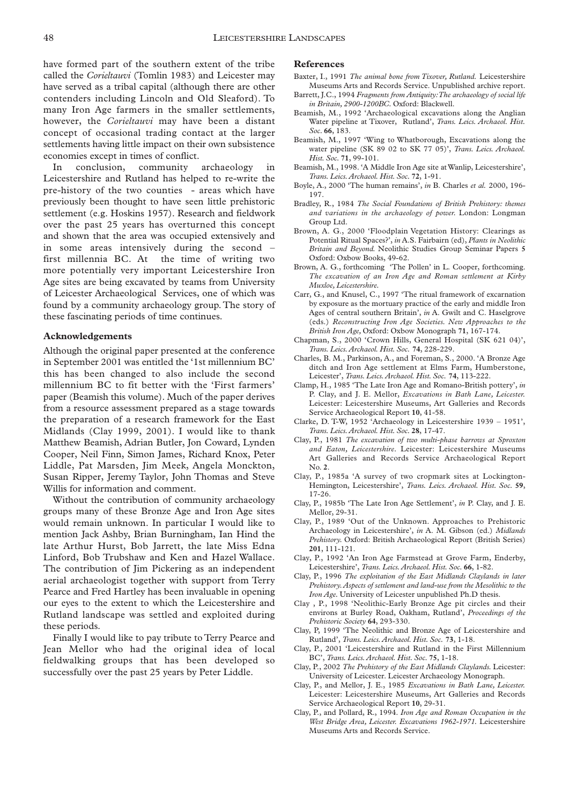have formed part of the southern extent of the tribe called the *Corieltauvi* (Tomlin 1983) and Leicester may have served as a tribal capital (although there are other contenders including Lincoln and Old Sleaford). To many Iron Age farmers in the smaller settlements, however, the *Corieltauvi* may have been a distant concept of occasional trading contact at the larger settlements having little impact on their own subsistence economies except in times of conflict.

In conclusion, community archaeology in Leicestershire and Rutland has helped to re-write the pre-history of the two counties - areas which have previously been thought to have seen little prehistoric settlement (e.g. Hoskins 1957). Research and fieldwork over the past 25 years has overturned this concept and shown that the area was occupied extensively and in some areas intensively during the second – first millennia BC. At the time of writing two more potentially very important Leicestershire Iron Age sites are being excavated by teams from University of Leicester Archaeological Services, one of which was found by a community archaeology group. The story of these fascinating periods of time continues.

#### **Acknowledgements**

Although the original paper presented at the conference in September 2001 was entitled the '1st millennium BC' this has been changed to also include the second millennium BC to fit better with the 'First farmers' paper (Beamish this volume). Much of the paper derives from a resource assessment prepared as a stage towards the preparation of a research framework for the East Midlands (Clay 1999, 2001). I would like to thank Matthew Beamish, Adrian Butler, Jon Coward, Lynden Cooper, Neil Finn, Simon James, Richard Knox, Peter Liddle, Pat Marsden, Jim Meek, Angela Monckton, Susan Ripper, Jeremy Taylor, John Thomas and Steve Willis for information and comment.

Without the contribution of community archaeology groups many of these Bronze Age and Iron Age sites would remain unknown. In particular I would like to mention Jack Ashby, Brian Burningham, Ian Hind the late Arthur Hurst, Bob Jarrett, the late Miss Edna Linford, Bob Trubshaw and Ken and Hazel Wallace. The contribution of Jim Pickering as an independent aerial archaeologist together with support from Terry Pearce and Fred Hartley has been invaluable in opening our eyes to the extent to which the Leicestershire and Rutland landscape was settled and exploited during these periods.

Finally I would like to pay tribute to Terry Pearce and Jean Mellor who had the original idea of local fieldwalking groups that has been developed so successfully over the past 25 years by Peter Liddle.

#### **References**

- Baxter, I., 1991 *The animal bone from Tixover, Rutland.* Leicestershire Museums Arts and Records Service. Unpublished archive report.
- Barrett, J.C., 1994 *Fragments from Antiquity:The archaeology of social life in Britain, 2900-1200BC.* Oxford: Blackwell.
- Beamish, M., 1992 'Archaeological excavations along the Anglian Water pipeline at Tixover, Rutland', *Trans. Leics. Archaeol. Hist. Soc.* **66**, 183.
- Beamish, M., 1997 'Wing to Whatborough, Excavations along the water pipeline (SK 89 02 to SK 77 05)', *Trans. Leics. Archaeol. Hist. Soc.* **71**, 99-101.
- Beamish, M., 1998. 'A Middle Iron Age site at Wanlip, Leicestershire', *Trans. Leics.Archaeol. Hist. Soc.* **72**, 1-91.
- Boyle, A., 2000 'The human remains', *in* B. Charles *et al.* 2000, 196- 197.
- Bradley, R., 1984 *The Social Foundations of British Prehistory: themes and variations in the archaeology of power.* London: Longman Group Ltd.
- Brown, A. G., 2000 'Floodplain Vegetation History: Clearings as Potential Ritual Spaces?', *in* A.S. Fairbairn (ed), *Plants in Neolithic Britain and Beyond.* Neolithic Studies Group Seminar Papers **5** Oxford: Oxbow Books, 49-62.
- Brown, A. G., forthcoming 'The Pollen' in L. Cooper, forthcoming. *The excavation of an Iron Age and Roman settlement at Kirby Muxloe, Leicestershire.*
- Carr, G., and Knusel, C., 1997 'The ritual framework of excarnation by exposure as the mortuary practice of the early and middle Iron Ages of central southern Britain', *in* A. Gwilt and C. Haselgrove (eds.) *Reconstructing Iron Age Societies. New Approaches to the British Iron Age,* Oxford: Oxbow Monograph **71**, 167-174.
- Chapman, S., 2000 'Crown Hills, General Hospital (SK 621 04)', *Trans. Leics.Archaeol. Hist. Soc.* **74**, 228-229.
- Charles, B. M., Parkinson, A., and Foreman, S., 2000. 'A Bronze Age ditch and Iron Age settlement at Elms Farm, Humberstone, Leicester', *Trans. Leics.Archaeol. Hist. Soc.* **74**, 113-222.
- Clamp, H., 1985 'The Late Iron Age and Romano-British pottery', *in* P. Clay, and J. E. Mellor, *Excavations in Bath Lane, Leicester.* Leicester: Leicestershire Museums, Art Galleries and Records Service Archaeological Report **10**, 41-58.
- Clarke, D. T-W, 1952 'Archaeology in Leicestershire 1939 1951', *Trans. Leics.Archaeol. Hist. Soc.* **28**, 17-47.
- Clay, P., 1981 *The excavation of two multi-phase barrows at Sproxton and Eaton, Leicestershire.* Leicester: Leicestershire Museums Art Galleries and Records Service Archaeological Report No. **2**.
- Clay, P., 1985a 'A survey of two cropmark sites at Lockington-Hemington, Leicestershire', *Trans. Leics. Archaeol. Hist. Soc.* **59**, 17-26.
- Clay, P., 1985b 'The Late Iron Age Settlement', *in* P. Clay, and J. E. Mellor, 29-31.
- Clay, P., 1989 'Out of the Unknown. Approaches to Prehistoric Archaeology in Leicestershire', *in* A. M. Gibson (ed.) *Midlands Prehistory.* Oxford: British Archaeological Report (British Series) **201**, 111-121.
- Clay, P., 1992 'An Iron Age Farmstead at Grove Farm, Enderby, Leicestershire', *Trans. Leics.Archaeol. Hist. Soc.* **66**, 1-82.
- Clay, P., 1996 *The exploitation of the East Midlands Claylands in later Prehistory.Aspects of settlement and land-use from the Mesolithic to the Iron Age.* University of Leicester unpublished Ph.D thesis.
- Clay , P., 1998 'Neolithic-Early Bronze Age pit circles and their environs at Burley Road, Oakham, Rutland', *Proceedings of the Prehistoric Society* **64**, 293-330.
- Clay, P, 1999 'The Neolithic and Bronze Age of Leicestershire and Rutland', *Trans. Leics.Archaeol. Hist. Soc.* **73**, 1-18.
- Clay, P., 2001 'Leicestershire and Rutland in the First Millennium BC', *Trans. Leics.Archaeol. Hist. Soc.* **75**, 1-18.
- Clay, P., 2002 *The Prehistory of the East Midlands Claylands.* Leicester: University of Leicester. Leicester Archaeology Monograph.
- Clay, P., and Mellor, J. E., 1985 *Excavations in Bath Lane, Leicester.* Leicester: Leicestershire Museums, Art Galleries and Records Service Archaeological Report **10**, 29-31.
- Clay, P., and Pollard, R., 1994. *Iron Age and Roman Occupation in the West Bridge Area, Leicester. Excavations 1962-1971.* Leicestershire Museums Arts and Records Service.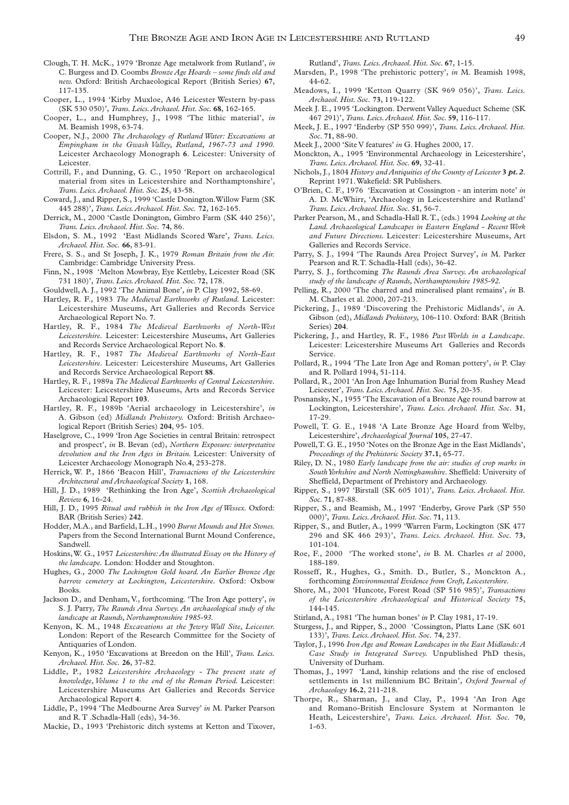- Clough, T. H. McK., 1979 'Bronze Age metalwork from Rutland', *in* C. Burgess and D. Coombs *Bronze Age Hoards – some finds old and new.* Oxford: British Archaeological Report (British Series) **67**, 117-135.
- Cooper, L., 1994 'Kirby Muxloe, A46 Leicester Western by-pass (SK 530 050)', *Trans. Leics.Archaeol. Hist. Soc.* **68**, 162-165.
- Cooper, L., and Humphrey, J., 1998 'The lithic material', *in* M. Beamish 1998, 63-74.
- Cooper, N.J., 2000 *The Archaeology of Rutland Water: Excavations at Empingham in the Gwash Valley, Rutland, 1967-73 and 1990.* Leicester Archaeology Monograph **6**. Leicester: University of Leicester.
- Cottrill, F., and Dunning, G. C., 1950 'Report on archaeological material from sites in Leicestershire and Northamptonshire', *Trans. Leics.Archaeol. Hist. Soc.* **25**, 43-58.
- Coward, J., and Ripper, S., 1999 'Castle Donington.Willow Farm (SK 445 288)', *Trans. Leics.Archaeol. Hist. Soc.* **72**, 162-165.
- Derrick, M., 2000 'Castle Donington, Gimbro Farm (SK 440 256)', *Trans. Leics.Archaeol. Hist. Soc.* **74**, 86.
- Elsdon, S. M., 1992 'East Midlands Scored Ware', *Trans. Leics. Archaeol. Hist. Soc.* **66**, 83-91.
- Frere, S. S., and St Joseph, J. K., 1979 *Roman Britain from the Air.* Cambridge: Cambridge University Press.
- Finn, N., 1998 'Melton Mowbray, Eye Kettleby, Leicester Road (SK 731 180)', *Trans. Leics.Archaeol. Hist. Soc.* **72**, 178.
- Gouldwell, A. J., 1992 'The Animal Bone', *in* P. Clay 1992, 58-69.
- Hartley, R. F., 1983 *The Medieval Earthworks of Rutland.* Leicester: Leicestershire Museums, Art Galleries and Records Service Archaeological Report No. **7**.
- Hartley, R. F., 1984 *The Medieval Earthworks of North-West Leicestershire.* Leicester: Leicestershire Museums, Art Galleries and Records Service Archaeological Report No. **8**.
- Hartley, R. F., 1987 *The Medieval Earthworks of North-East Leicestershire.* Leicester: Leicestershire Museums, Art Galleries and Records Service Archaeological Report **88**.
- Hartley, R. F., 1989a *The Medieval Earthworks of Central Leicestershire.* Leicester: Leicestershire Museums, Arts and Records Service Archaeological Report **103**.
- Hartley, R. F., 1989b 'Aerial archaeology in Leicestershire', *in* A. Gibson (ed) *Midlands Prehistory.* Oxford: British Archaeological Report (British Series) **204**, 95- 105.
- Haselgrove, C., 1999 'Iron Age Societies in central Britain: retrospect and prospect', *in* B. Bevan (ed), *Northern Exposure: interpretative devolution and the Iron Ages in Britain.* Leicester: University of Leicester Archaeology Monograph No.**4**, 253-278.
- Herrick, W. P., 1866 'Beacon Hill', *Transactions of the Leicestershire Architectural and Archaeological Society* **1**, 168.
- Hill, J. D., 1989 'Rethinking the Iron Age', *Scottish Archaeological Review* **6**, 16-24.
- Hill, J. D., 1995 *Ritual and rubbish in the Iron Age of Wessex.* Oxford: BAR (British Series) **242**.
- Hodder, M.A., and Barfield, L.H., 1990 *Burnt Mounds and Hot Stones.* Papers from the Second International Burnt Mound Conference, Sandwell.
- Hoskins,W. G., 1957 *Leicestershire:An illustrated Essay on the History of the landscape.* London: Hodder and Stoughton.
- Hughes, G., 2000 *The Lockington Gold hoard. An Earlier Bronze Age barrow cemetery at Lockington, Leicestershire.* Oxford: Oxbow Books.
- Jackson D., and Denham, V., forthcoming. 'The Iron Age pottery', *in* S. J. Parry, *The Raunds Area Survey. An archaeological study of the landscape at Raunds, Northamptonshire 1985-93.*
- Kenyon, K. M., 1948 *Excavations at the Jewry Wall Site, Leicester.* London: Report of the Research Committee for the Society of Antiquaries of London.
- Kenyon, K., 1950 'Excavations at Breedon on the Hill', *Trans. Leics. Archaeol. Hist. Soc.* **26**, 37-82.
- Liddle, P., 1982 *Leicestershire Archaeology The present state of knowledge, Volume 1 to the end of the Roman Period.* Leicester: Leicestershire Museums Art Galleries and Records Service Archaeological Report **4**.
- Liddle, P., 1994 'The Medbourne Area Survey' *in* M. Parker Pearson and R.T .Schadla-Hall (eds), 34-36.
- Mackie, D., 1993 'Prehistoric ditch systems at Ketton and Tixover,

Rutland', *Trans. Leics.Archaeol. Hist. Soc.* **67**, 1-15.

- Marsden, P., 1998 'The prehistoric pottery', *in* M. Beamish 1998, 44-62.
- Meadows, I., 1999 'Ketton Quarry (SK 969 056)', *Trans. Leics. Archaeol. Hist. Soc.* **73**, 119-122.
- Meek J. E., 1995 'Lockington. Derwent Valley Aqueduct Scheme (SK 467 291)', *Trans. Leics.Archaeol. Hist. Soc.* **59**, 116-117.
- Meek, J. E., 1997 'Enderby (SP 550 999)', *Trans. Leics. Archaeol. Hist. Soc.* **71**, 88-90.
- Meek J., 2000 'Site V features' *in* G. Hughes 2000, 17.
- Monckton, A., 1995 'Environmental Archaeology in Leicestershire', *Trans. Leics.Archaeol. Hist. Soc.* **69**, 32-41.
- Nichols, J., 1804 *History and Antiquities of the County of Leicester* **3** *pt. 2*. Reprint 1971.Wakefield: SR Publishers.
- O'Brien, C. F., 1976 'Excavation at Cossington an interim note' *in* A. D. McWhirr, 'Archaeology in Leicestershire and Rutland' *Trans. Leics.Archaeol. Hist. Soc.* **51**, 56-7.
- Parker Pearson, M., and Schadla-Hall R.T., (eds.) 1994 *Looking at the Land. Archaeological Landscapes in Eastern England - Recent Work and Future Directions.* Leicester: Leicestershire Museums, Art Galleries and Records Service.
- Parry, S. J., 1994 'The Raunds Area Project Survey', *in* M. Parker Pearson and R.T. Schadla-Hall (eds), 36-42.
- Parry, S. J., forthcoming *The Raunds Area Survey. An archaeological study of the landscape of Raunds, Northamptonshire 1985-92.*
- Pelling, R., 2000 'The charred and mineralised plant remains', *in* B. M. Charles et al. 2000, 207-213.
- Pickering, J., 1989 'Discovering the Prehistoric Midlands', *in* A. Gibson (ed), *Midlands Prehistory,* 106-110. Oxford: BAR (British Series) **204**.
- Pickering, J., and Hartley, R. F., 1986 *Past Worlds in a Landscape.* Leicester: Leicestershire Museums Art Galleries and Records Service.
- Pollard, R., 1994 'The Late Iron Age and Roman pottery', *in* P. Clay and R. Pollard 1994, 51-114.
- Pollard, R., 2001 'An Iron Age Inhumation Burial from Rushey Mead Leicester', *Trans. Leics.Archaeol. Hist. Soc.* **75**, 20-35.
- Posnansky, N., 1955 'The Excavation of a Bronze Age round barrow at Lockington, Leicestershire', *Trans. Leics. Archaeol. Hist. Soc.* **31**, 17-29.
- Powell, T. G. E., 1948 'A Late Bronze Age Hoard from Welby, Leicestershire', *Archaeological Journal* **105**, 27-47.
- Powell,T. G. E., 1950 'Notes on the Bronze Age in the East Midlands', *Proceedings of the Prehistoric Society* **37.1**, 65-77.
- Riley, D. N., 1980 *Early landscape from the air: studies of crop marks in South Yorkshire and North Nottinghamshire.* Sheffield: University of Sheffield, Department of Prehistory and Archaeology.
- Ripper, S., 1997 'Birstall (SK 605 101)', *Trans. Leics. Archaeol. Hist. Soc.* **71**, 87-88.
- Ripper, S., and Beamish, M., 1997 'Enderby, Grove Park (SP 550 000)', *Trans. Leics.Archaeol. Hist. Soc.* **71**, 113.
- Ripper, S., and Butler, A., 1999 'Warren Farm, Lockington (SK 477 296 and SK 466 293)', *Trans. Leics. Archaeol. Hist. Soc.* **73**, 101-104.
- Roe, F., 2000 'The worked stone', *in* B. M. Charles *et al* 2000, 188-189.
- Rosseff, R., Hughes, G., Smith. D., Butler, S., Monckton A., forthcoming *Environmental Evidence from Croft, Leicestershire.*
- Shore, M., 2001 'Huncote, Forest Road (SP 516 985)', *Transactions of the Leicestershire Archaeological and Historical Society* **75**, 144-145.
- Stirland, A., 1981 'The human bones' *in* P. Clay 1981, 17-19.
- Sturgess, J., and Ripper, S., 2000 'Cossington, Platts Lane (SK 601 133)', *Trans. Leics.Archaeol. Hist. Soc.* **74**, 237.
- Taylor, J., 1996 *Iron Age and Roman Landscapes in the East Midlands:A Case Study in Integrated Survey.* Unpublished PhD thesis, University of Durham.
- Thomas, J., 1997 'Land, kinship relations and the rise of enclosed settlements in 1st millennium BC Britain', *Oxford Journal of Archaeology* **16.2**, 211-218.
- Thorpe, R., Sharman, J., and Clay, P., 1994 'An Iron Age and Romano-British Enclosure System at Normanton le Heath, Leicestershire', *Trans. Leics. Archaeol. Hist. Soc.* **70**, 1-63.